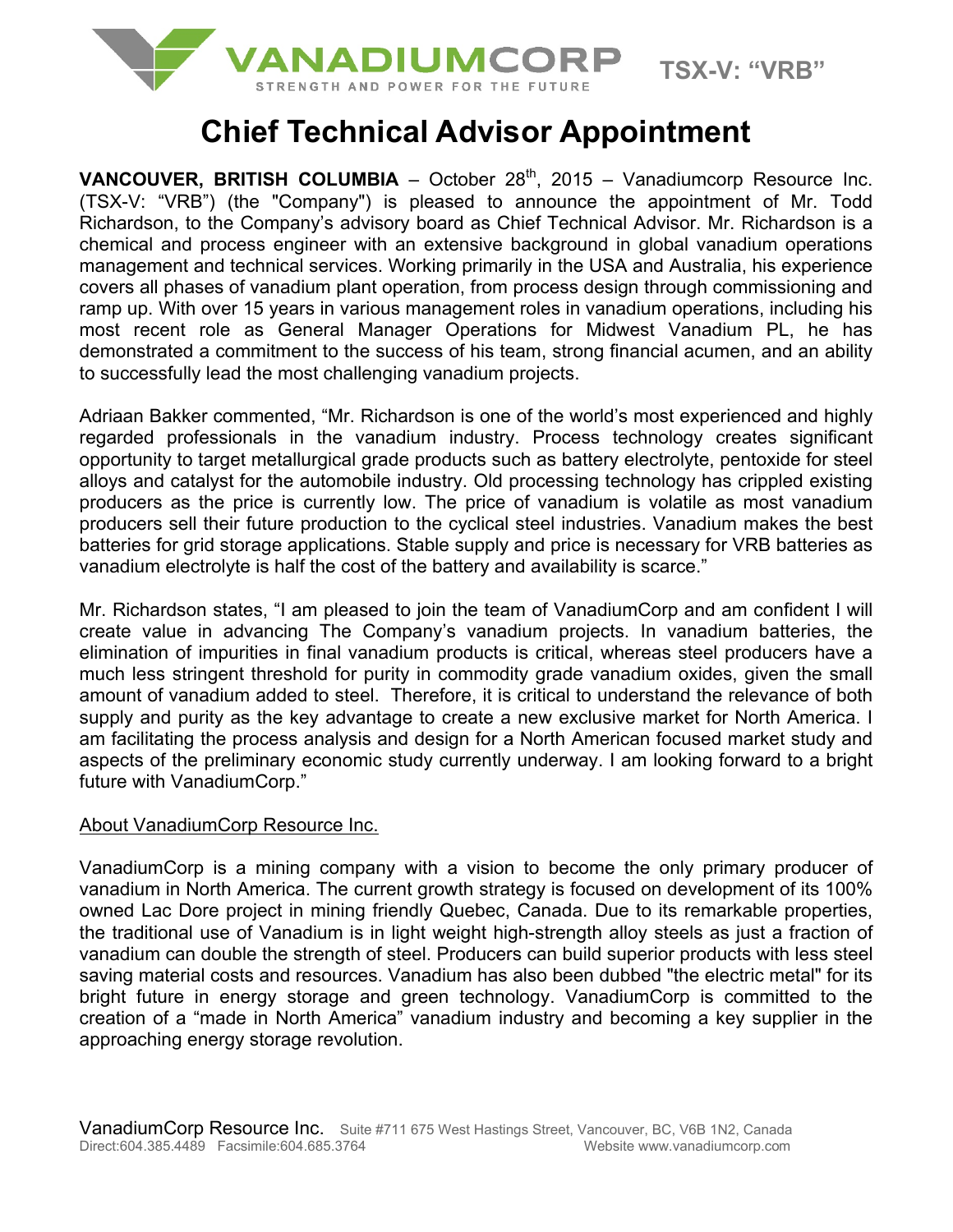

# **Chief Technical Advisor Appointment**

**VANCOUVER, BRITISH COLUMBIA** – October  $28<sup>th</sup>$ , 2015 – Vanadiumcorp Resource Inc. (TSX-V: "VRB") (the "Company") is pleased to announce the appointment of Mr. Todd Richardson, to the Company's advisory board as Chief Technical Advisor. Mr. Richardson is a chemical and process engineer with an extensive background in global vanadium operations management and technical services. Working primarily in the USA and Australia, his experience covers all phases of vanadium plant operation, from process design through commissioning and ramp up. With over 15 years in various management roles in vanadium operations, including his most recent role as General Manager Operations for Midwest Vanadium PL, he has demonstrated a commitment to the success of his team, strong financial acumen, and an ability to successfully lead the most challenging vanadium projects.

Adriaan Bakker commented, "Mr. Richardson is one of the world's most experienced and highly regarded professionals in the vanadium industry. Process technology creates significant opportunity to target metallurgical grade products such as battery electrolyte, pentoxide for steel alloys and catalyst for the automobile industry. Old processing technology has crippled existing producers as the price is currently low. The price of vanadium is volatile as most vanadium producers sell their future production to the cyclical steel industries. Vanadium makes the best batteries for grid storage applications. Stable supply and price is necessary for VRB batteries as vanadium electrolyte is half the cost of the battery and availability is scarce."

Mr. Richardson states, "I am pleased to join the team of VanadiumCorp and am confident I will create value in advancing The Company's vanadium projects. In vanadium batteries, the elimination of impurities in final vanadium products is critical, whereas steel producers have a much less stringent threshold for purity in commodity grade vanadium oxides, given the small amount of vanadium added to steel. Therefore, it is critical to understand the relevance of both supply and purity as the key advantage to create a new exclusive market for North America. I am facilitating the process analysis and design for a North American focused market study and aspects of the preliminary economic study currently underway. I am looking forward to a bright future with VanadiumCorp."

## About VanadiumCorp Resource Inc.

VanadiumCorp is a mining company with a vision to become the only primary producer of vanadium in North America. The current growth strategy is focused on development of its 100% owned Lac Dore project in mining friendly Quebec, Canada. Due to its remarkable properties, the traditional use of Vanadium is in light weight high-strength alloy steels as just a fraction of vanadium can double the strength of steel. Producers can build superior products with less steel saving material costs and resources. Vanadium has also been dubbed "the electric metal" for its bright future in energy storage and green technology. VanadiumCorp is committed to the creation of a "made in North America" vanadium industry and becoming a key supplier in the approaching energy storage revolution.